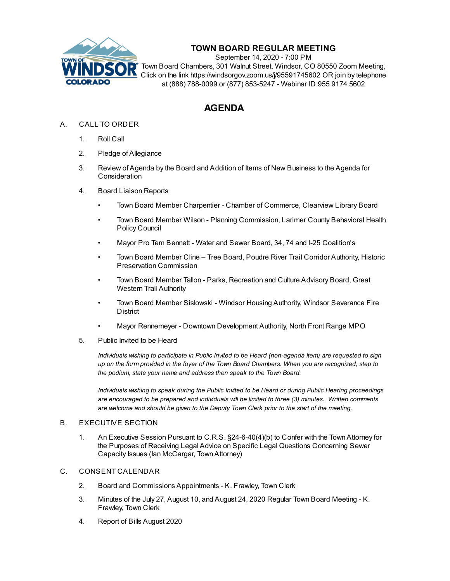

# **TOWN BOARD REGULAR MEETING**

September 14, 2020 - 7:00 PM Town Board Chambers, 301 Walnut Street, Windsor, CO 80550 Zoom Meeting, Click on the link https://windsorgov.zoom.us/j/95591745602 OR join by telephone at (888) 788-0099 or (877) 853-5247 - Webinar ID:955 9174 5602

# **AGENDA**

# A. CALL TO ORDER

- 1. Roll Call
- 2. Pledge of Allegiance
- 3. Review of Agenda by the Board and Addition of Items of New Business to the Agenda for **Consideration**
- 4. Board Liaison Reports
	- Town Board Member Charpentier Chamber of Commerce, Clearview Library Board
	- Town Board Member Wilson Planning Commission, Larimer County Behavioral Health Policy Council
	- Mayor Pro Tem Bennett Water and Sewer Board, 34, 74 and I-25 Coalition's
	- Town Board Member Cline Tree Board, Poudre River Trail Corridor Authority, Historic Preservation Commission
	- Town Board Member Tallon Parks, Recreation and Culture Advisory Board, Great Western Trail Authority
	- Town Board Member Sislowski Windsor Housing Authority, Windsor Severance Fire District
	- Mayor Rennemeyer Downtown Development Authority, North Front Range MPO
- 5. Public Invited to be Heard

*Individuals wishing to participate in Public Invited to be Heard (non-agenda item) are requested to sign* up on the form provided in the foyer of the Town Board Chambers. When you are recognized, step to *the podium, state your name and address then speak to the Town Board.*

*Individuals wishing to speak during the Public Invited to be Heard or during Public Hearing proceedings are encouraged to be prepared and individuals will be limited to three (3) minutes. Written comments are welcome and should be given to the Deputy Town Clerk prior to the start of the meeting.*

## B. EXECUTIVE SECTION

1. An Executive Session Pursuant to C.R.S. [§24-6-40\(4\)\(b\)](file:///C:/Windows/TEMP/CoverSheet.aspx?ItemID=1032&MeetingID=128) to Confer with the Town Attorney for the Purposes of Receiving Legal Advice on Specific Legal Questions Concerning Sewer Capacity Issues (Ian McCargar, TownAttorney)

#### C. CONSENT CALENDAR

- 2. Board and Commissions [Appointments](file:///C:/Windows/TEMP/CoverSheet.aspx?ItemID=1051&MeetingID=128) K. Frawley, Town Clerk
- 3. Minutes of the July 27, August 10, and August 24, 2020 Regular Town Board [Meeting](file:///C:/Windows/TEMP/CoverSheet.aspx?ItemID=1031&MeetingID=128) K. Frawley, Town Clerk
- 4. Report of Bills [August](file:///C:/Windows/TEMP/CoverSheet.aspx?ItemID=1042&MeetingID=128) 2020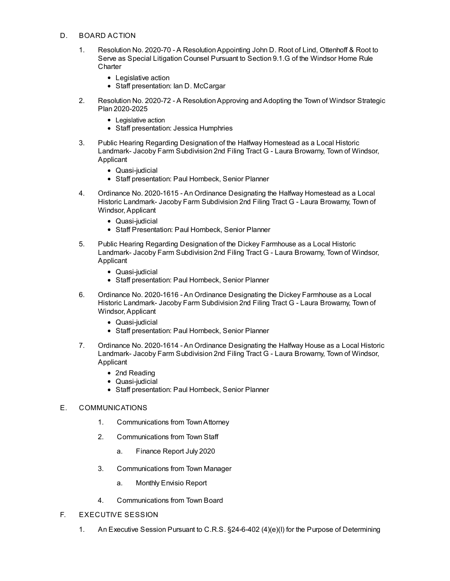#### D. BOARD ACTION

- 1. Resolution No. 2020-70 A [ResolutionAppointing](file:///C:/Windows/TEMP/CoverSheet.aspx?ItemID=1028&MeetingID=128) John D. Root of Lind, Ottenhoff & Root to Serve as Special Litigation Counsel Pursuant to Section 9.1.G of the Windsor Home Rule **Charter** 
	- Legislative action
	- Staff presentation: Ian D. McCargar
- 2. Resolution No. 2020-72 A ResolutionApproving and Adopting the Town of Windsor Strategic Plan 2020-2025
	- Legislative action
	- Staff presentation: Jessica Humphries
- 3. Public Hearing Regarding [Designation](file:///C:/Windows/TEMP/CoverSheet.aspx?ItemID=1044&MeetingID=128) of the Halfway Homestead as a Local Historic Landmark- Jacoby Farm Subdivision 2nd Filing Tract G - Laura Browarny, Town of Windsor, Applicant
	- Quasi-judicial
	- Staff presentation: Paul Hornbeck, Senior Planner
- 4. Ordinance No. 2020-1615 An Ordinance [Designating](file:///C:/Windows/TEMP/CoverSheet.aspx?ItemID=1045&MeetingID=128) the Halfway Homestead as a Local Historic Landmark- Jacoby Farm Subdivision 2nd Filing Tract G - Laura Browarny, Town of Windsor, Applicant
	- Quasi-judicial
	- Staff Presentation: Paul Hornbeck, Senior Planner
- 5. Public Hearing Regarding [Designation](file:///C:/Windows/TEMP/CoverSheet.aspx?ItemID=1046&MeetingID=128) of the Dickey Farmhouse as a Local Historic Landmark- Jacoby Farm Subdivision 2nd Filing Tract G - Laura Browarny, Town of Windsor, Applicant
	- Quasi-judicial
	- Staff presentation: Paul Hornbeck, Senior Planner
- 6. Ordinance No. 2020-1616 An Ordinance [Designating](file:///C:/Windows/TEMP/CoverSheet.aspx?ItemID=1047&MeetingID=128) the Dickey Farmhouse as a Local Historic Landmark- Jacoby Farm Subdivision 2nd Filing Tract G - Laura Browarny, Town of Windsor, Applicant
	- Quasi-judicial
	- Staff presentation: Paul Hornbeck, Senior Planner
- 7. Ordinance No. 2020-1614 An Ordinance [Designating](file:///C:/Windows/TEMP/CoverSheet.aspx?ItemID=1048&MeetingID=128) the Halfway House as a Local Historic Landmark- Jacoby Farm Subdivision 2nd Filing Tract G - Laura Browarny, Town of Windsor, Applicant
	- 2nd Reading
	- Quasi-iudicial
	- Staff presentation: Paul Hornbeck, Senior Planner

### E. COMMUNICATIONS

- 1. Communications from TownAttorney
- 2. Communications from Town Staff
	- a. Finance Report July 2020
- 3. Communications from Town Manager
	- a. [Monthly](file:///C:/Windows/TEMP/CoverSheet.aspx?ItemID=1027&MeetingID=128) Envisio Report
- 4. Communications from Town Board
- F. EXECUTIVE SESSION
	- 1. An Executive Session Pursuant to C.R.S. §24-6-402 (4)(e)(I) for the Purpose of Determining